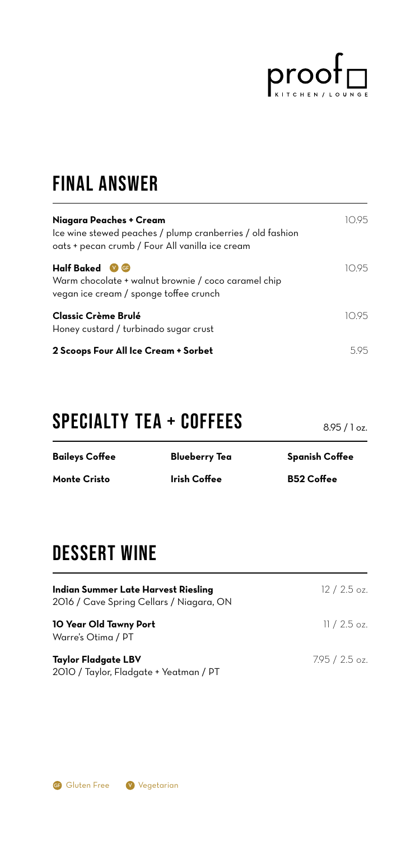

## final answer

| Niagara Peaches + Cream<br>Ice wine stewed peaches / plump cranberries / old fashion<br>oats + pecan crumb / Four All vanilla ice cream | 19.5 |
|-----------------------------------------------------------------------------------------------------------------------------------------|------|
| <b>Half Baked</b><br>$(V)$ GF<br>Warm chocolate + walnut brownie / coco caramel chip<br>vegan ice cream / sponge toffee crunch          | 1095 |
| Classic Crème Brulé<br>Honey custard / turbinado sugar crust                                                                            | 95   |
| 2 Scoops Four All Ice Cream + Sorbet                                                                                                    | 595  |

## SPECIALTY tea + COFFEES

**Baileys Coffee Monte Cristo Blueberry Tea Irish Coffee Spanish Coffee B52 Coffee**

## DESSERT WINE

| Indian Summer Late Harvest Riesling<br>2016 / Cave Spring Cellars / Niagara, ON | $12/2.5$ oz.   |
|---------------------------------------------------------------------------------|----------------|
| 10 Year Old Tawny Port<br>Warre's Otima / PT                                    | $11/2.5$ oz.   |
| Taylor Fladgate LBV<br>2010 / Taylor, Fladgate + Yeatman / PT                   | $7.95/2.5$ oz. |



8.95 / 1 oz.